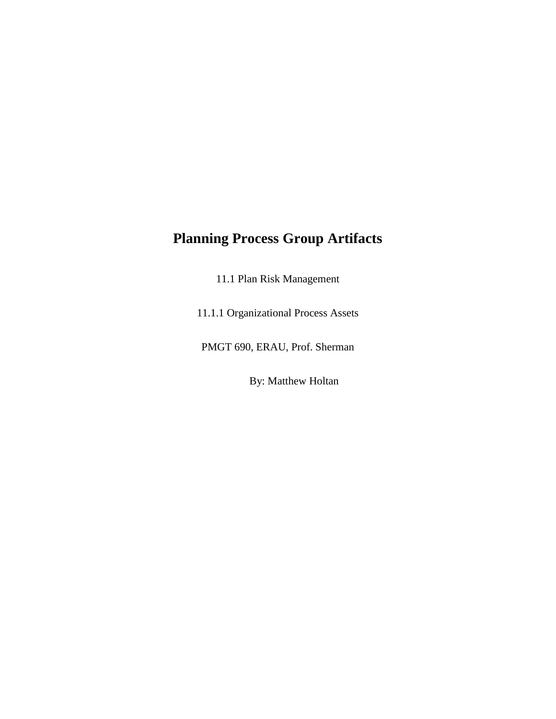## **Planning Process Group Artifacts**

11.1 Plan Risk Management

11.1.1 Organizational Process Assets

PMGT 690, ERAU, Prof. Sherman

By: Matthew Holtan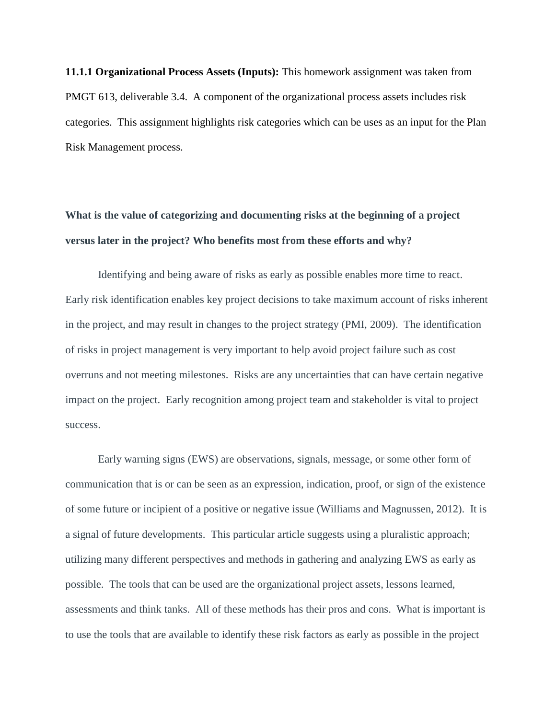**11.1.1 Organizational Process Assets (Inputs):** This homework assignment was taken from PMGT 613, deliverable 3.4. A component of the organizational process assets includes risk categories. This assignment highlights risk categories which can be uses as an input for the Plan Risk Management process.

## **What is the value of categorizing and documenting risks at the beginning of a project versus later in the project? Who benefits most from these efforts and why?**

Identifying and being aware of risks as early as possible enables more time to react. Early risk identification enables key project decisions to take maximum account of risks inherent in the project, and may result in changes to the project strategy (PMI, 2009). The identification of risks in project management is very important to help avoid project failure such as cost overruns and not meeting milestones. Risks are any uncertainties that can have certain negative impact on the project. Early recognition among project team and stakeholder is vital to project success.

Early warning signs (EWS) are observations, signals, message, or some other form of communication that is or can be seen as an expression, indication, proof, or sign of the existence of some future or incipient of a positive or negative issue (Williams and Magnussen, 2012). It is a signal of future developments. This particular article suggests using a pluralistic approach; utilizing many different perspectives and methods in gathering and analyzing EWS as early as possible. The tools that can be used are the organizational project assets, lessons learned, assessments and think tanks. All of these methods has their pros and cons. What is important is to use the tools that are available to identify these risk factors as early as possible in the project